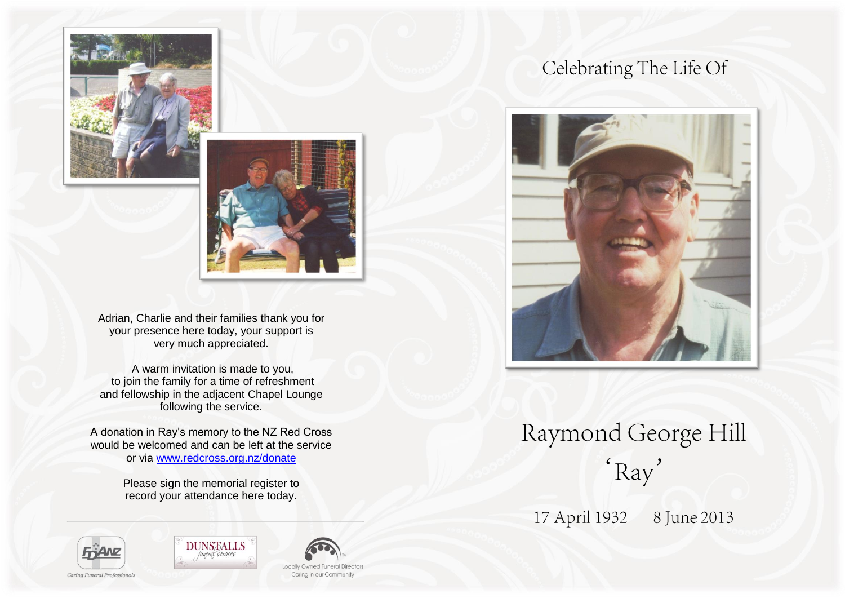



Adrian, Charlie and their families thank you for your presence here today, your support is very much appreciated.

A warm invitation is made to you, to join the family for a time of refreshment and fellowship in the adjacent Chapel Lounge following the service.

A donation in Ray's memory to the NZ Red Cross would be welcomed and can be left at the service or via [www.redcross.org.nz/donate](http://www.redcross.org.nz/donate)

> Please sign the memorial register to record your attendance here today.

# Celebrating The Life Of



# Raymond George Hill 'Ray'

17 April 1932 - 8 June 2013





**Locally Owned Funeral Directors** Caring in our Community